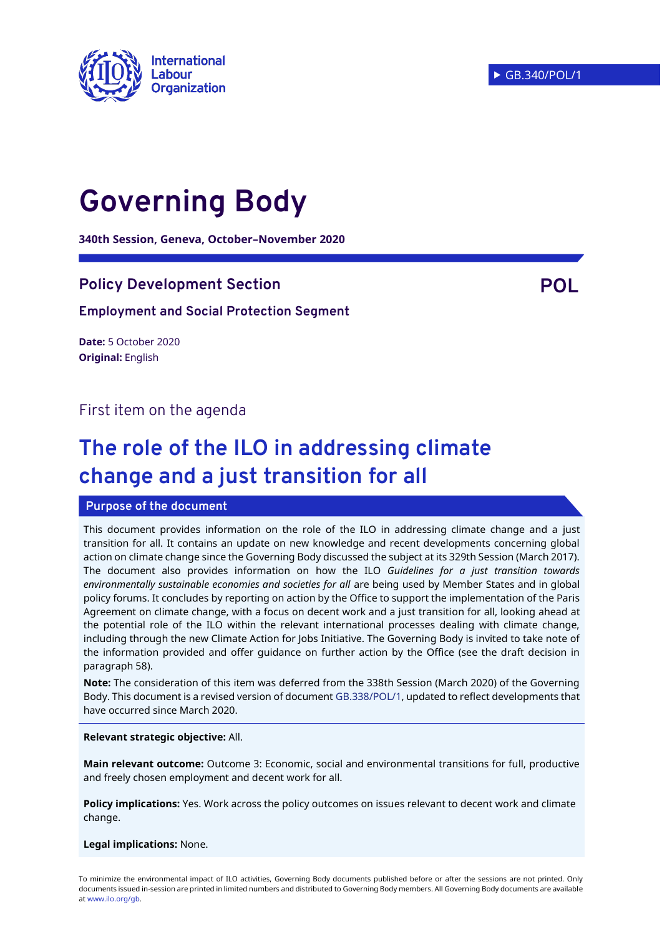

# **Governing Body**

**340th Session, Geneva, October–November 2020**

# **Policy Development Section POL**

#### **Employment and Social Protection Segment**

**Date:** 5 October 2020 **Original:** English

# First item on the agenda

# **The role of the ILO in addressing climate change and a just transition for all**

#### **Purpose of the document**

This document provides information on the role of the ILO in addressing climate change and a just transition for all. It contains an update on new knowledge and recent developments concerning global action on climate change since the Governing Body discussed the subject at its 329th Session (March 2017). The document also provides information on how the ILO *Guidelines for a just transition towards environmentally sustainable economies and societies for all* are being used by Member States and in global policy forums. It concludes by reporting on action by the Office to support the implementation of the Paris Agreement on climate change, with a focus on decent work and a just transition for all, looking ahead at the potential role of the ILO within the relevant international processes dealing with climate change, including through the new Climate Action for Jobs Initiative. The Governing Body is invited to take note of the information provided and offer guidance on further action by the Office (see the draft decision in paragraph 58).

**Note:** The consideration of this item was deferred from the 338th Session (March 2020) of the Governing Body. This document is a revised version of document [GB.338/POL/1,](https://www.ilo.org/wcmsp5/groups/public/---ed_norm/---relconf/documents/meetingdocument/wcms_736774.pdf) updated to reflect developments that have occurred since March 2020.

#### **Relevant strategic objective:** All.

**Main relevant outcome:** Outcome 3: Economic, social and environmental transitions for full, productive and freely chosen employment and decent work for all.

**Policy implications:** Yes. Work across the policy outcomes on issues relevant to decent work and climate change.

**Legal implications:** None.

To minimize the environmental impact of ILO activities, Governing Body documents published before or after the sessions are not printed. Only documents issued in-session are printed in limited numbers and distributed to Governing Body members. All Governing Body documents are available a[t www.ilo.org/gb.](http://www.ilo.org/gb)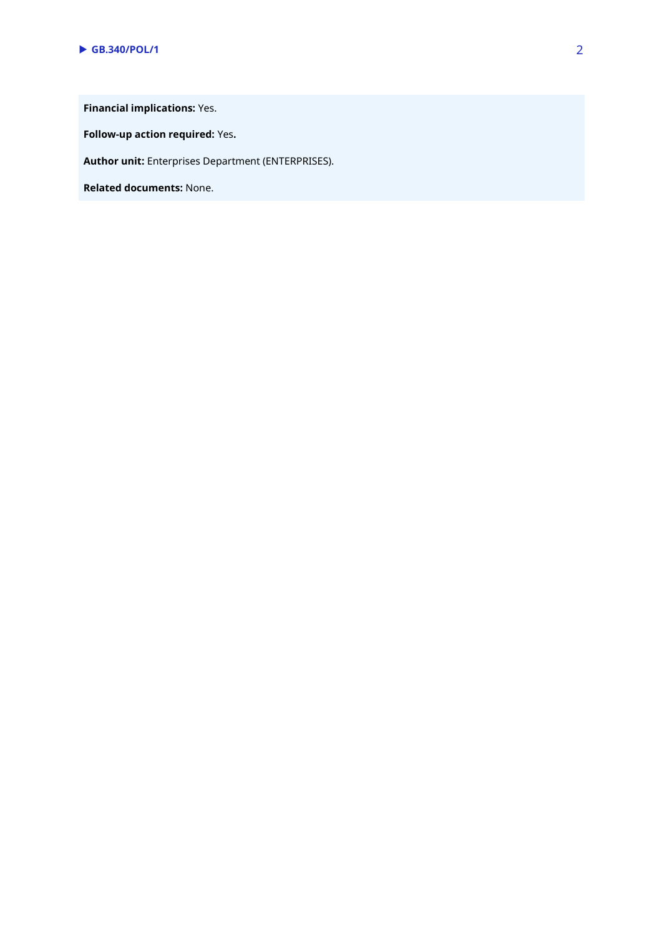**Financial implications:** Yes.

**Follow-up action required:** Yes**.**

**Author unit:** Enterprises Department (ENTERPRISES).

**Related documents:** None.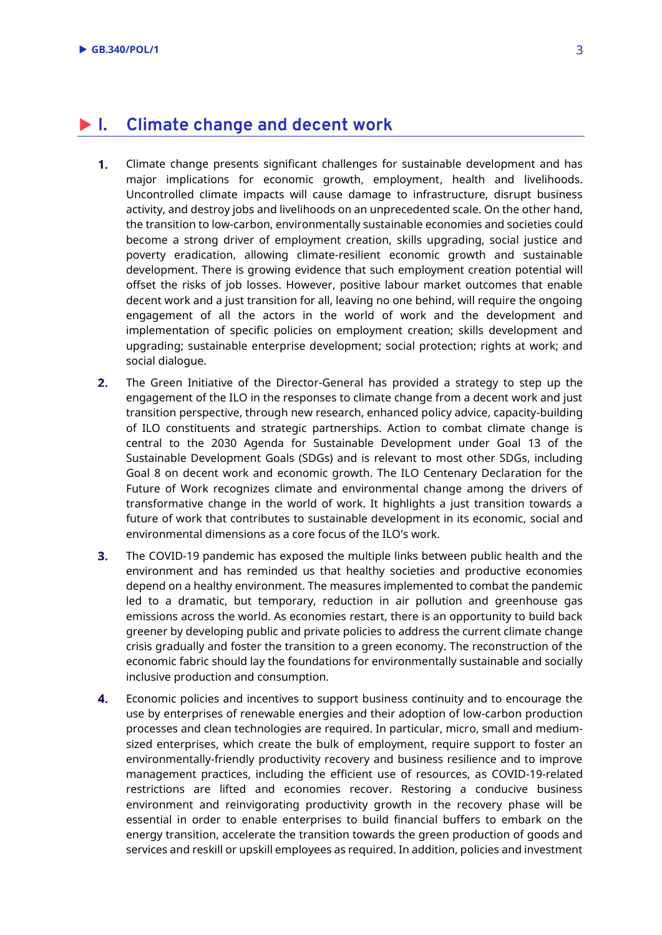# **I. Climate change and decent work**

- $1<sub>1</sub>$ Climate change presents significant challenges for sustainable development and has major implications for economic growth, employment, health and livelihoods. Uncontrolled climate impacts will cause damage to infrastructure, disrupt business activity, and destroy jobs and livelihoods on an unprecedented scale. On the other hand, the transition to low-carbon, environmentally sustainable economies and societies could become a strong driver of employment creation, skills upgrading, social justice and poverty eradication, allowing climate-resilient economic growth and sustainable development. There is growing evidence that such employment creation potential will offset the risks of job losses. However, positive labour market outcomes that enable decent work and a just transition for all, leaving no one behind, will require the ongoing engagement of all the actors in the world of work and the development and implementation of specific policies on employment creation; skills development and upgrading; sustainable enterprise development; social protection; rights at work; and social dialogue.
- $2.$ The Green Initiative of the Director-General has provided a strategy to step up the engagement of the ILO in the responses to climate change from a decent work and just transition perspective, through new research, enhanced policy advice, capacity-building of ILO constituents and strategic partnerships. Action to combat climate change is central to the 2030 Agenda for Sustainable Development under Goal 13 of the Sustainable Development Goals (SDGs) and is relevant to most other SDGs, including Goal 8 on decent work and economic growth. The ILO Centenary Declaration for the Future of Work recognizes climate and environmental change among the drivers of transformative change in the world of work. It highlights a just transition towards a future of work that contributes to sustainable development in its economic, social and environmental dimensions as a core focus of the ILO's work.
- $3<sub>1</sub>$ The COVID-19 pandemic has exposed the multiple links between public health and the environment and has reminded us that healthy societies and productive economies depend on a healthy environment. The measures implemented to combat the pandemic led to a dramatic, but temporary, reduction in air pollution and greenhouse gas emissions across the world. As economies restart, there is an opportunity to build back greener by developing public and private policies to address the current climate change crisis gradually and foster the transition to a green economy. The reconstruction of the economic fabric should lay the foundations for environmentally sustainable and socially inclusive production and consumption.
- $\overline{4}$ . Economic policies and incentives to support business continuity and to encourage the use by enterprises of renewable energies and their adoption of low-carbon production processes and clean technologies are required. In particular, micro, small and mediumsized enterprises, which create the bulk of employment, require support to foster an environmentally-friendly productivity recovery and business resilience and to improve management practices, including the efficient use of resources, as COVID-19-related restrictions are lifted and economies recover. Restoring a conducive business environment and reinvigorating productivity growth in the recovery phase will be essential in order to enable enterprises to build financial buffers to embark on the energy transition, accelerate the transition towards the green production of goods and services and reskill or upskill employees as required. In addition, policies and investment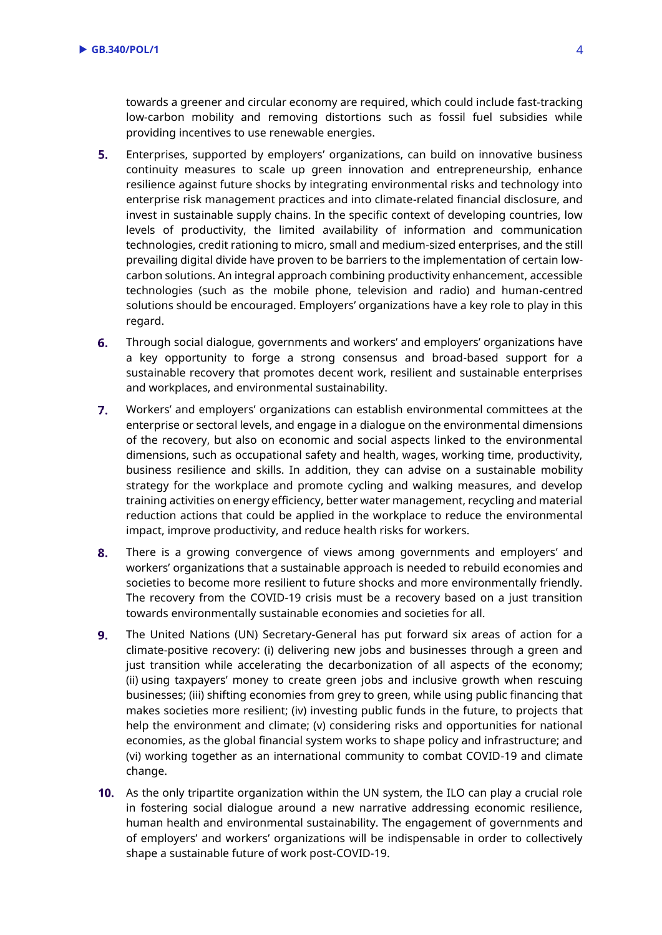towards a greener and circular economy are required, which could include fast-tracking low-carbon mobility and removing distortions such as fossil fuel subsidies while providing incentives to use renewable energies.

- $5<sub>1</sub>$ Enterprises, supported by employers' organizations, can build on innovative business continuity measures to scale up green innovation and entrepreneurship, enhance resilience against future shocks by integrating environmental risks and technology into enterprise risk management practices and into climate-related financial disclosure, and invest in sustainable supply chains. In the specific context of developing countries, low levels of productivity, the limited availability of information and communication technologies, credit rationing to micro, small and medium-sized enterprises, and the still prevailing digital divide have proven to be barriers to the implementation of certain lowcarbon solutions. An integral approach combining productivity enhancement, accessible technologies (such as the mobile phone, television and radio) and human-centred solutions should be encouraged. Employers' organizations have a key role to play in this regard.
- 6. Through social dialogue, governments and workers' and employers' organizations have a key opportunity to forge a strong consensus and broad-based support for a sustainable recovery that promotes decent work, resilient and sustainable enterprises and workplaces, and environmental sustainability.
- $7.$ Workers' and employers' organizations can establish environmental committees at the enterprise or sectoral levels, and engage in a dialogue on the environmental dimensions of the recovery, but also on economic and social aspects linked to the environmental dimensions, such as occupational safety and health, wages, working time, productivity, business resilience and skills. In addition, they can advise on a sustainable mobility strategy for the workplace and promote cycling and walking measures, and develop training activities on energy efficiency, better water management, recycling and material reduction actions that could be applied in the workplace to reduce the environmental impact, improve productivity, and reduce health risks for workers.
- 8. There is a growing convergence of views among governments and employers' and workers' organizations that a sustainable approach is needed to rebuild economies and societies to become more resilient to future shocks and more environmentally friendly. The recovery from the COVID-19 crisis must be a recovery based on a just transition towards environmentally sustainable economies and societies for all.
- $9.$ The United Nations (UN) Secretary-General has put forward six areas of action for a climate-positive recovery: (i) delivering new jobs and businesses through a green and just transition while accelerating the decarbonization of all aspects of the economy; (ii) using taxpayers' money to create green jobs and inclusive growth when rescuing businesses; (iii) shifting economies from grey to green, while using public financing that makes societies more resilient; (iv) investing public funds in the future, to projects that help the environment and climate; (v) considering risks and opportunities for national economies, as the global financial system works to shape policy and infrastructure; and (vi) working together as an international community to combat COVID-19 and climate change.
- 10. As the only tripartite organization within the UN system, the ILO can play a crucial role in fostering social dialogue around a new narrative addressing economic resilience, human health and environmental sustainability. The engagement of governments and of employers' and workers' organizations will be indispensable in order to collectively shape a sustainable future of work post-COVID-19.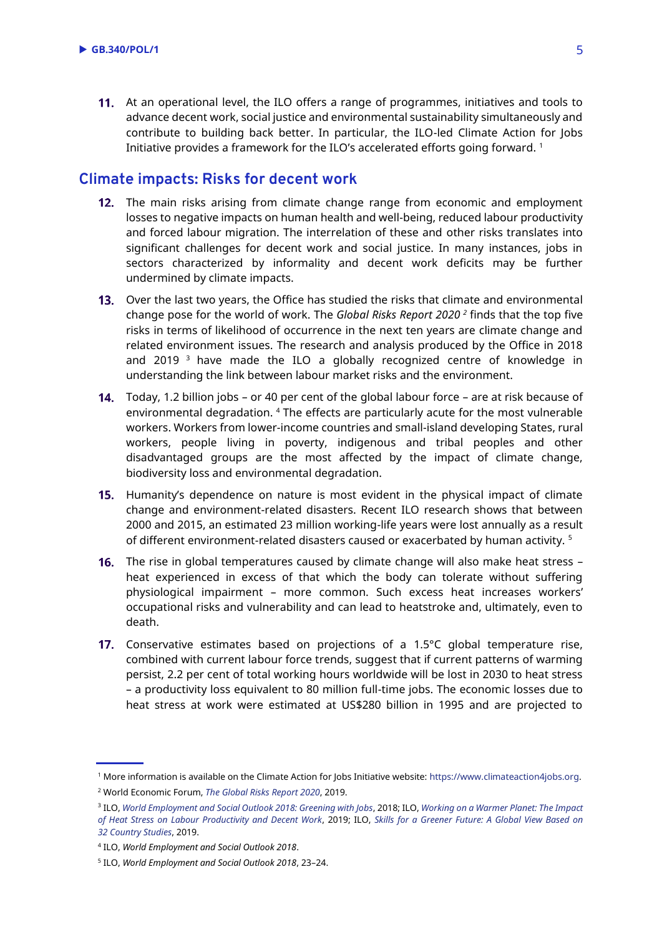11. At an operational level, the ILO offers a range of programmes, initiatives and tools to advance decent work, social justice and environmental sustainability simultaneously and contribute to building back better. In particular, the ILO-led Climate Action for Jobs Initiative provides a framework for the ILO's accelerated efforts going forward. <sup>1</sup>

#### **Climate impacts: Risks for decent work**

- **12.** The main risks arising from climate change range from economic and employment losses to negative impacts on human health and well-being, reduced labour productivity and forced labour migration. The interrelation of these and other risks translates into significant challenges for decent work and social justice. In many instances, jobs in sectors characterized by informality and decent work deficits may be further undermined by climate impacts.
- **13.** Over the last two years, the Office has studied the risks that climate and environmental change pose for the world of work. The *Global Risks Report 2020 <sup>2</sup>* finds that the top five risks in terms of likelihood of occurrence in the next ten years are climate change and related environment issues. The research and analysis produced by the Office in 2018 and 2019  $3$  have made the ILO a globally recognized centre of knowledge in understanding the link between labour market risks and the environment.
- Today, 1.2 billion jobs or 40 per cent of the global labour force are at risk because of environmental degradation. <sup>4</sup> The effects are particularly acute for the most vulnerable workers. Workers from lower-income countries and small-island developing States, rural workers, people living in poverty, indigenous and tribal peoples and other disadvantaged groups are the most affected by the impact of climate change, biodiversity loss and environmental degradation.
- **15.** Humanity's dependence on nature is most evident in the physical impact of climate change and environment-related disasters. Recent ILO research shows that between 2000 and 2015, an estimated 23 million working-life years were lost annually as a result of different environment-related disasters caused or exacerbated by human activity.<sup>5</sup>
- The rise in global temperatures caused by climate change will also make heat stress heat experienced in excess of that which the body can tolerate without suffering physiological impairment – more common. Such excess heat increases workers' occupational risks and vulnerability and can lead to heatstroke and, ultimately, even to death.
- **17.** Conservative estimates based on projections of a 1.5 $^{\circ}$ C global temperature rise, combined with current labour force trends, suggest that if current patterns of warming persist, 2.2 per cent of total working hours worldwide will be lost in 2030 to heat stress – a productivity loss equivalent to 80 million full-time jobs. The economic losses due to heat stress at work were estimated at US\$280 billion in 1995 and are projected to

<sup>1</sup> More information is available on the Climate Action for Jobs Initiative website: [https://www.climateaction4jobs.org.](https://www.climateaction4jobs.org/) <sup>2</sup> World Economic Forum, *[The Global Risks Report 2020](http://www3.weforum.org/docs/WEF_Global_Risk_Report_2020.pdf)*, 2019.

<sup>3</sup> ILO, *[World Employment and Social Outlook 2018: Greening with Jobs](https://www.ilo.org/wcmsp5/groups/public/---dgreports/---dcomm/---publ/documents/publication/wcms_628654.pdf)*, 2018; ILO, *[Working on a Warmer Planet: The Impact](https://www.ilo.org/wcmsp5/groups/public/---dgreports/---dcomm/---publ/documents/publication/wcms_711919.pdf)  [of Heat Stress on Labour Productivity and Decent Work](https://www.ilo.org/wcmsp5/groups/public/---dgreports/---dcomm/---publ/documents/publication/wcms_711919.pdf)*, 2019; ILO, *[Skills for a Greener Future: A Global View Based on](https://www.ilo.org/wcmsp5/groups/public/---ed_emp/documents/publication/wcms_732214.pdf)  32 [Country Studies](https://www.ilo.org/wcmsp5/groups/public/---ed_emp/documents/publication/wcms_732214.pdf)*, 2019.

<sup>4</sup> ILO, *World Employment and Social Outlook 2018*.

<sup>5</sup> ILO, *World Employment and Social Outlook 2018*, 23–24.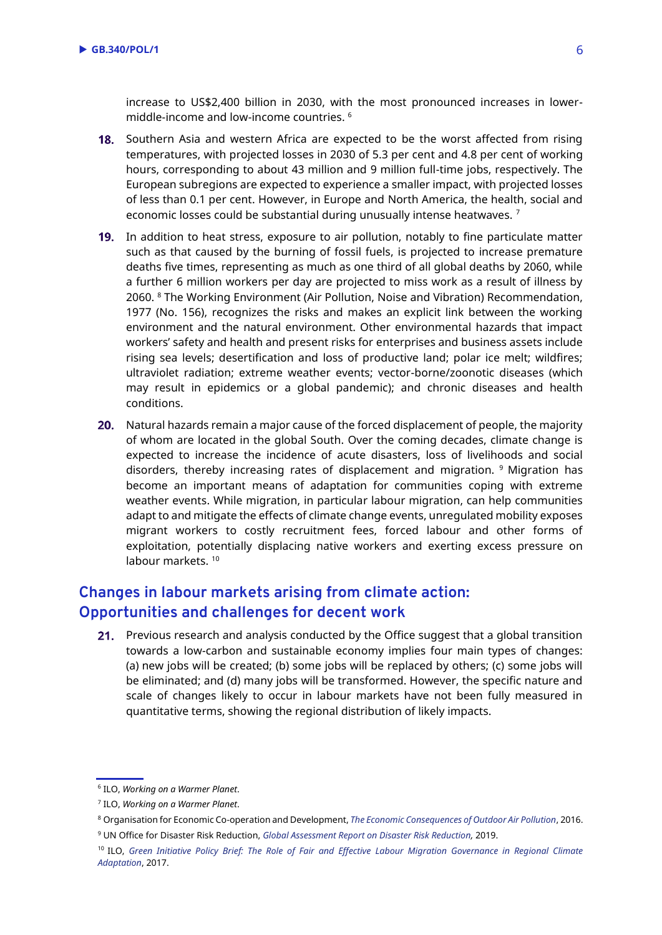increase to US\$2,400 billion in 2030, with the most pronounced increases in lowermiddle-income and low-income countries. <sup>6</sup>

- 18. Southern Asia and western Africa are expected to be the worst affected from rising temperatures, with projected losses in 2030 of 5.3 per cent and 4.8 per cent of working hours, corresponding to about 43 million and 9 million full-time jobs, respectively. The European subregions are expected to experience a smaller impact, with projected losses of less than 0.1 per cent. However, in Europe and North America, the health, social and economic losses could be substantial during unusually intense heatwaves.<sup>7</sup>
- **19.** In addition to heat stress, exposure to air pollution, notably to fine particulate matter such as that caused by the burning of fossil fuels, is projected to increase premature deaths five times, representing as much as one third of all global deaths by 2060, while a further 6 million workers per day are projected to miss work as a result of illness by 2060. <sup>8</sup> The Working Environment (Air Pollution, Noise and Vibration) Recommendation, 1977 (No. 156), recognizes the risks and makes an explicit link between the working environment and the natural environment. Other environmental hazards that impact workers' safety and health and present risks for enterprises and business assets include rising sea levels; desertification and loss of productive land; polar ice melt; wildfires; ultraviolet radiation; extreme weather events; vector-borne/zoonotic diseases (which may result in epidemics or a global pandemic); and chronic diseases and health conditions.
- 20. Natural hazards remain a major cause of the forced displacement of people, the majority of whom are located in the global South. Over the coming decades, climate change is expected to increase the incidence of acute disasters, loss of livelihoods and social disorders, thereby increasing rates of displacement and migration. <sup>9</sup> Migration has become an important means of adaptation for communities coping with extreme weather events. While migration, in particular labour migration, can help communities adapt to and mitigate the effects of climate change events, unregulated mobility exposes migrant workers to costly recruitment fees, forced labour and other forms of exploitation, potentially displacing native workers and exerting excess pressure on labour markets. 10

# **Changes in labour markets arising from climate action: Opportunities and challenges for decent work**

21. Previous research and analysis conducted by the Office suggest that a global transition towards a low-carbon and sustainable economy implies four main types of changes: (a) new jobs will be created; (b) some jobs will be replaced by others; (c) some jobs will be eliminated; and (d) many jobs will be transformed. However, the specific nature and scale of changes likely to occur in labour markets have not been fully measured in quantitative terms, showing the regional distribution of likely impacts.

<sup>6</sup> ILO, *Working on a Warmer Planet*.

<sup>7</sup> ILO, *Working on a Warmer Planet*.

<sup>8</sup> Organisation for Economic Co-operation and Development, *[The Economic Consequences of Outdoor Air Pollution](http://www.oecd.org/environment/the-economic-consequences-of-outdoor-air-pollution-9789264257474-en.htm)*, 2016. <sup>9</sup> UN Office for Disaster Risk Reduction, *[Global Assessment Report on Disaster Risk Reduction,](https://gar.undrr.org/sites/default/files/reports/2019-05/full_gar_report.pdf)* 2019.

<sup>10</sup> ILO, *[Green Initiative Policy Brief: The Role of Fair and Effective Labour Migration Governance in Regional Climate](https://www.ilo.org/wcmsp5/groups/public/---ed_emp/---gjp/documents/publication/wcms_614303.pdf)* 

*[Adaptation](https://www.ilo.org/wcmsp5/groups/public/---ed_emp/---gjp/documents/publication/wcms_614303.pdf)*, 2017.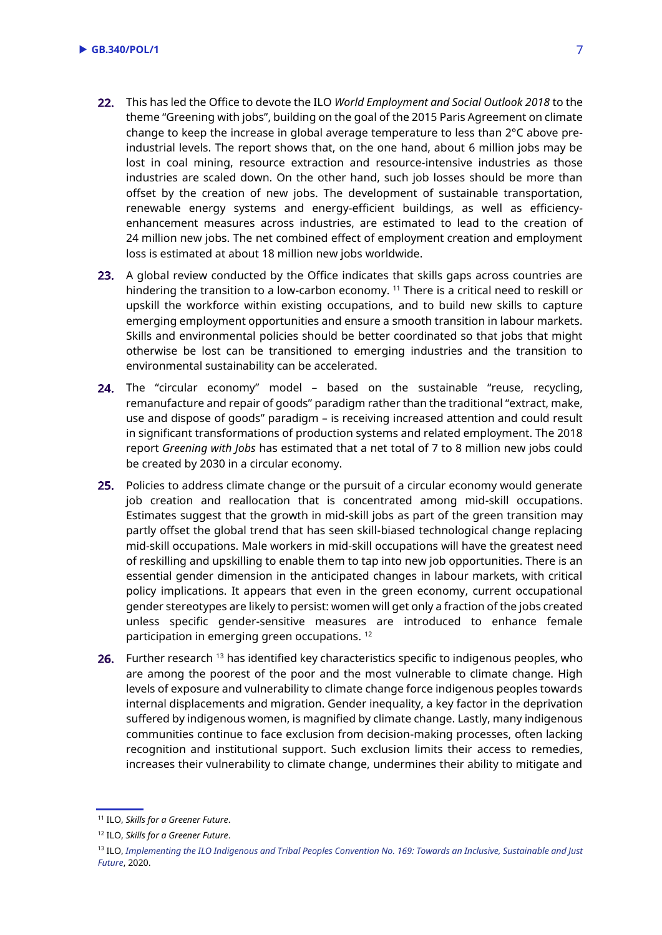- This has led the Office to devote the ILO *World Employment and Social Outlook 2018* to the theme "Greening with jobs", building on the goal of the 2015 Paris Agreement on climate change to keep the increase in global average temperature to less than 2°C above preindustrial levels. The report shows that, on the one hand, about 6 million jobs may be lost in coal mining, resource extraction and resource-intensive industries as those industries are scaled down. On the other hand, such job losses should be more than offset by the creation of new jobs. The development of sustainable transportation, renewable energy systems and energy-efficient buildings, as well as efficiencyenhancement measures across industries, are estimated to lead to the creation of 24 million new jobs. The net combined effect of employment creation and employment loss is estimated at about 18 million new jobs worldwide.
- 23. A global review conducted by the Office indicates that skills gaps across countries are hindering the transition to a low-carbon economy.<sup>11</sup> There is a critical need to reskill or upskill the workforce within existing occupations, and to build new skills to capture emerging employment opportunities and ensure a smooth transition in labour markets. Skills and environmental policies should be better coordinated so that jobs that might otherwise be lost can be transitioned to emerging industries and the transition to environmental sustainability can be accelerated.
- 24. The "circular economy" model based on the sustainable "reuse, recycling, remanufacture and repair of goods" paradigm rather than the traditional "extract, make, use and dispose of goods" paradigm – is receiving increased attention and could result in significant transformations of production systems and related employment. The 2018 report *Greening with Jobs* has estimated that a net total of 7 to 8 million new jobs could be created by 2030 in a circular economy.
- 25. Policies to address climate change or the pursuit of a circular economy would generate job creation and reallocation that is concentrated among mid-skill occupations. Estimates suggest that the growth in mid-skill jobs as part of the green transition may partly offset the global trend that has seen skill-biased technological change replacing mid-skill occupations. Male workers in mid-skill occupations will have the greatest need of reskilling and upskilling to enable them to tap into new job opportunities. There is an essential gender dimension in the anticipated changes in labour markets, with critical policy implications. It appears that even in the green economy, current occupational gender stereotypes are likely to persist: women will get only a fraction of the jobs created unless specific gender-sensitive measures are introduced to enhance female participation in emerging green occupations. <sup>12</sup>
- 26. Further research <sup>13</sup> has identified key characteristics specific to indigenous peoples, who are among the poorest of the poor and the most vulnerable to climate change. High levels of exposure and vulnerability to climate change force indigenous peoples towards internal displacements and migration. Gender inequality, a key factor in the deprivation suffered by indigenous women, is magnified by climate change. Lastly, many indigenous communities continue to face exclusion from decision-making processes, often lacking recognition and institutional support. Such exclusion limits their access to remedies, increases their vulnerability to climate change, undermines their ability to mitigate and

<sup>11</sup> ILO, *Skills for a Greener Future*.

<sup>12</sup> ILO, *Skills for a Greener Future*.

<sup>13</sup> ILO, *[Implementing the ILO Indigenous and Tribal Peoples Convention No. 169: Towards an Inclusive, Sustainable and Just](https://www.ilo.org/wcmsp5/groups/public/---dgreports/---dcomm/---publ/documents/publication/wcms_735607.pdf)  [Future](https://www.ilo.org/wcmsp5/groups/public/---dgreports/---dcomm/---publ/documents/publication/wcms_735607.pdf)*, 2020.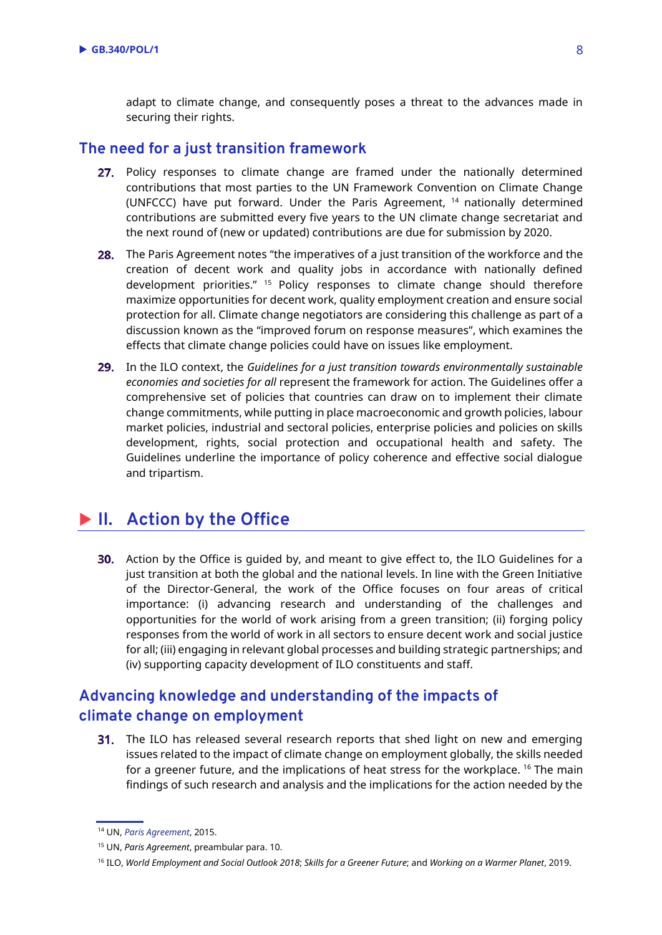adapt to climate change, and consequently poses a threat to the advances made in securing their rights.

#### **The need for a just transition framework**

- 27. Policy responses to climate change are framed under the nationally determined contributions that most parties to the UN Framework Convention on Climate Change (UNFCCC) have put forward. Under the Paris Agreement, <sup>14</sup> nationally determined contributions are submitted every five years to the UN climate change secretariat and the next round of (new or updated) contributions are due for submission by 2020.
- 28. The Paris Agreement notes "the imperatives of a just transition of the workforce and the creation of decent work and quality jobs in accordance with nationally defined development priorities." <sup>15</sup> Policy responses to climate change should therefore maximize opportunities for decent work, quality employment creation and ensure social protection for all. Climate change negotiators are considering this challenge as part of a discussion known as the "improved forum on response measures", which examines the effects that climate change policies could have on issues like employment.
- In the ILO context, the *Guidelines for a just transition towards environmentally sustainable economies and societies for all* represent the framework for action. The Guidelines offer a comprehensive set of policies that countries can draw on to implement their climate change commitments, while putting in place macroeconomic and growth policies, labour market policies, industrial and sectoral policies, enterprise policies and policies on skills development, rights, social protection and occupational health and safety. The Guidelines underline the importance of policy coherence and effective social dialogue and tripartism.

# **II. Action by the Office**

30. Action by the Office is guided by, and meant to give effect to, the ILO Guidelines for a just transition at both the global and the national levels. In line with the Green Initiative of the Director-General, the work of the Office focuses on four areas of critical importance: (i) advancing research and understanding of the challenges and opportunities for the world of work arising from a green transition; (ii) forging policy responses from the world of work in all sectors to ensure decent work and social justice for all; (iii) engaging in relevant global processes and building strategic partnerships; and (iv) supporting capacity development of ILO constituents and staff.

# **Advancing knowledge and understanding of the impacts of climate change on employment**

31. The ILO has released several research reports that shed light on new and emerging issues related to the impact of climate change on employment globally, the skills needed for a greener future, and the implications of heat stress for the workplace. <sup>16</sup> The main findings of such research and analysis and the implications for the action needed by the

<sup>14</sup> UN, *[Paris Agreement](https://unfccc.int/files/essential_background/convention/application/pdf/english_paris_agreement.pdf)*, 2015.

<sup>15</sup> UN, *Paris Agreement*, preambular para. 10.

<sup>16</sup> ILO, *World Employment and Social Outlook 2018*; *Skills for a Greener Future*; and *Working on a Warmer Planet*, 2019.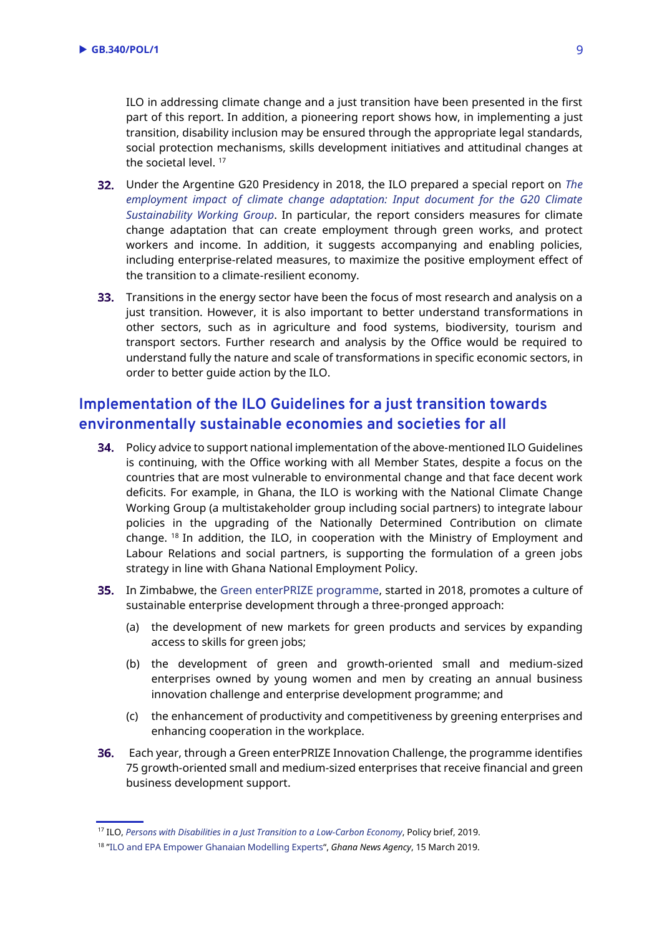ILO in addressing climate change and a just transition have been presented in the first part of this report. In addition, a pioneering report shows how, in implementing a just transition, disability inclusion may be ensured through the appropriate legal standards, social protection mechanisms, skills development initiatives and attitudinal changes at the societal level.<sup>17</sup>

- Under the Argentine G20 Presidency in 2018, the ILO prepared a special report on *[The](https://www.ilo.org/wcmsp5/groups/public/---ed_emp/documents/publication/wcms_645572.pdf)  [employment impact of climate change adaptation: Input document for the G20 Climate](https://www.ilo.org/wcmsp5/groups/public/---ed_emp/documents/publication/wcms_645572.pdf)  Sustainability [Working Group](https://www.ilo.org/wcmsp5/groups/public/---ed_emp/documents/publication/wcms_645572.pdf)*. In particular, the report considers measures for climate change adaptation that can create employment through green works, and protect workers and income. In addition, it suggests accompanying and enabling policies, including enterprise-related measures, to maximize the positive employment effect of the transition to a climate-resilient economy.
- 33. Transitions in the energy sector have been the focus of most research and analysis on a just transition. However, it is also important to better understand transformations in other sectors, such as in agriculture and food systems, biodiversity, tourism and transport sectors. Further research and analysis by the Office would be required to understand fully the nature and scale of transformations in specific economic sectors, in order to better guide action by the ILO.

# **Implementation of the ILO Guidelines for a just transition towards environmentally sustainable economies and societies for all**

- 34. Policy advice to support national implementation of the above-mentioned ILO Guidelines is continuing, with the Office working with all Member States, despite a focus on the countries that are most vulnerable to environmental change and that face decent work deficits. For example, in Ghana, the ILO is working with the National Climate Change Working Group (a multistakeholder group including social partners) to integrate labour policies in the upgrading of the Nationally Determined Contribution on climate change.  $18$  In addition, the ILO, in cooperation with the Ministry of Employment and Labour Relations and social partners, is supporting the formulation of a green jobs strategy in line with Ghana National Employment Policy.
- **35.** In Zimbabwe, the [Green enterPRIZE programme,](https://www.greenenterprize.org/) started in 2018, promotes a culture of sustainable enterprise development through a three-pronged approach:
	- (a) the development of new markets for green products and services by expanding access to skills for green jobs;
	- (b) the development of green and growth-oriented small and medium-sized enterprises owned by young women and men by creating an annual business innovation challenge and enterprise development programme; and
	- (c) the enhancement of productivity and competitiveness by greening enterprises and enhancing cooperation in the workplace.
- Each year, through a Green enterPRIZE Innovation Challenge, the programme identifies 75 growth-oriented small and medium-sized enterprises that receive financial and green business development support.

<sup>17</sup> ILO, *[Persons with Disabilities in a Just Transition to a Low-Carbon Economy](https://www.ilo.org/wcmsp5/groups/public/---ed_emp/---ifp_skills/documents/publication/wcms_727084.pdf)*, Policy brief, 2019.

<sup>18</sup> "[ILO and EPA Empower Ghanaian Modelling Experts](https://www.newsghana.com.gh/ilo-and-epa-empower-ghanaian-modelling-experts/)", *Ghana News Agency*, 15 March 2019.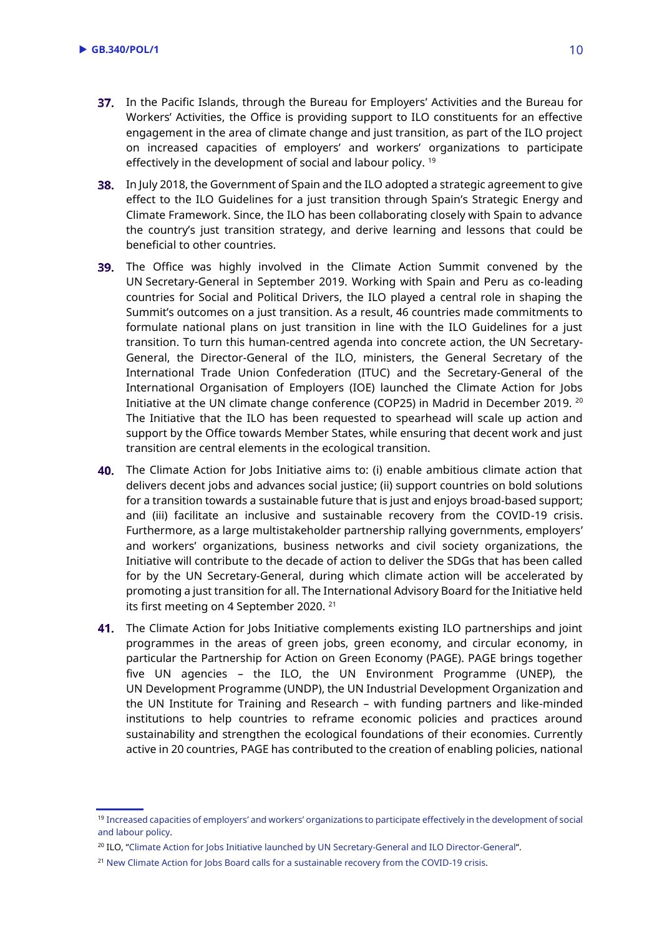- 37. In the Pacific Islands, through the Bureau for Employers' Activities and the Bureau for Workers' Activities, the Office is providing support to ILO constituents for an effective engagement in the area of climate change and just transition, as part of the ILO project on increased capacities of employers' and workers' organizations to participate effectively in the development of social and labour policy.<sup>19</sup>
- **38.** In July 2018, the Government of Spain and the ILO adopted a strategic agreement to give effect to the ILO Guidelines for a just transition through Spain's Strategic Energy and Climate Framework. Since, the ILO has been collaborating closely with Spain to advance the country's just transition strategy, and derive learning and lessons that could be beneficial to other countries.
- **39.** The Office was highly involved in the Climate Action Summit convened by the UN Secretary-General in September 2019. Working with Spain and Peru as co-leading countries for Social and Political Drivers, the ILO played a central role in shaping the Summit's outcomes on a just transition. As a result, 46 countries made commitments to formulate national plans on just transition in line with the ILO Guidelines for a just transition. To turn this human-centred agenda into concrete action, the UN Secretary-General, the Director-General of the ILO, ministers, the General Secretary of the International Trade Union Confederation (ITUC) and the Secretary-General of the International Organisation of Employers (IOE) launched the Climate Action for Jobs Initiative at the UN climate change conference (COP25) in Madrid in December 2019. <sup>20</sup> The Initiative that the ILO has been requested to spearhead will scale up action and support by the Office towards Member States, while ensuring that decent work and just transition are central elements in the ecological transition.
- **40.** The Climate Action for Jobs Initiative aims to: (i) enable ambitious climate action that delivers decent jobs and advances social justice; (ii) support countries on bold solutions for a transition towards a sustainable future that is just and enjoys broad-based support; and (iii) facilitate an inclusive and sustainable recovery from the COVID-19 crisis. Furthermore, as a large multistakeholder partnership rallying governments, employers' and workers' organizations, business networks and civil society organizations, the Initiative will contribute to the decade of action to deliver the SDGs that has been called for by the UN Secretary-General, during which climate action will be accelerated by promoting a just transition for all. The International Advisory Board for the Initiative held its first meeting on 4 September 2020. <sup>21</sup>
- 41. The Climate Action for Jobs Initiative complements existing ILO partnerships and joint programmes in the areas of green jobs, green economy, and circular economy, in particular the Partnership for Action on Green Economy (PAGE). PAGE brings together five UN agencies – the ILO, the UN Environment Programme (UNEP), the UN Development Programme (UNDP), the UN Industrial Development Organization and the UN Institute for Training and Research – with funding partners and like-minded institutions to help countries to reframe economic policies and practices around sustainability and strengthen the ecological foundations of their economies. Currently active in 20 countries, PAGE has contributed to the creation of enabling policies, national

<sup>19</sup> Increased capacities of employers' and workers' [organizations to participate effectively in the development of social](https://www.ilo.org/suva/projects/WCMS_687334/lang--en/index.htm)  [and labour policy.](https://www.ilo.org/suva/projects/WCMS_687334/lang--en/index.htm)

<sup>20</sup> ILO, "[Climate Action for Jobs Initiative launched by UN Secretary-General and ILO Director-General](https://www.ilo.org/global/about-the-ilo/newsroom/news/WCMS_732270/lang--en/index.htm)".

<sup>&</sup>lt;sup>21</sup> New Climate Action for Jobs Board calls [for a sustainable recovery from the COVID-19 crisis.](https://www.ilo.org/global/about-the-ilo/newsroom/news/WCMS_754932/lang--en/index.htm)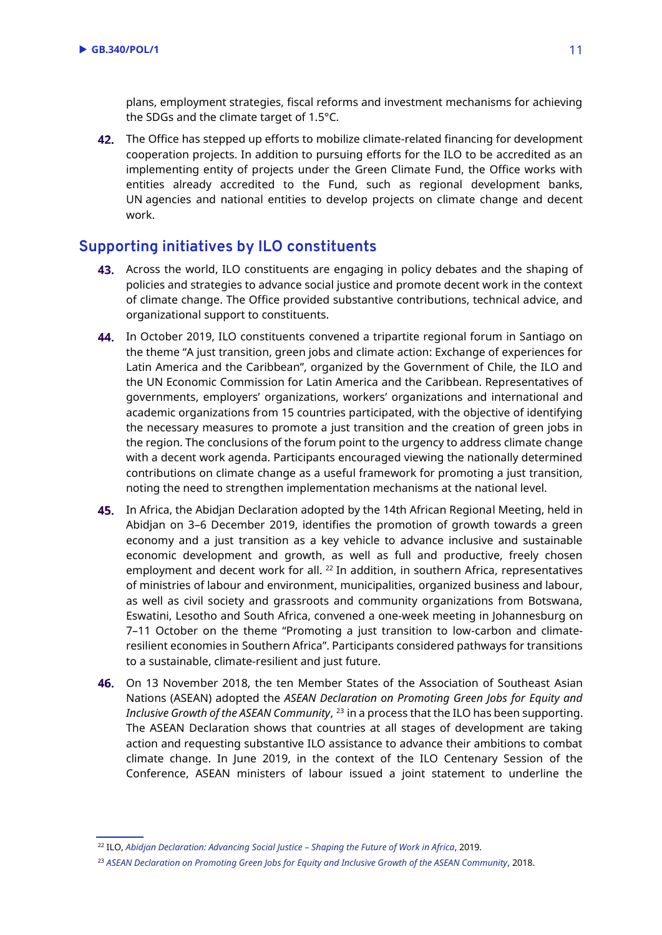plans, employment strategies, fiscal reforms and investment mechanisms for achieving the SDGs and the climate target of 1.5°C.

42. The Office has stepped up efforts to mobilize climate-related financing for development cooperation projects. In addition to pursuing efforts for the ILO to be accredited as an implementing entity of projects under the Green Climate Fund, the Office works with entities already accredited to the Fund, such as regional development banks, UN agencies and national entities to develop projects on climate change and decent work.

# **Supporting initiatives by ILO constituents**

- 43. Across the world, ILO constituents are engaging in policy debates and the shaping of policies and strategies to advance social justice and promote decent work in the context of climate change. The Office provided substantive contributions, technical advice, and organizational support to constituents.
- 44. In October 2019, ILO constituents convened a tripartite regional forum in Santiago on the theme "A just transition, green jobs and climate action: Exchange of experiences for Latin America and the Caribbean", organized by the Government of Chile, the ILO and the UN Economic Commission for Latin America and the Caribbean. Representatives of governments, employers' organizations, workers' organizations and international and academic organizations from 15 countries participated, with the objective of identifying the necessary measures to promote a just transition and the creation of green jobs in the region. The conclusions of the forum point to the urgency to address climate change with a decent work agenda. Participants encouraged viewing the nationally determined contributions on climate change as a useful framework for promoting a just transition, noting the need to strengthen implementation mechanisms at the national level.
- **45.** In Africa, the Abidjan Declaration adopted by the 14th African Regional Meeting, held in Abidjan on 3–6 December 2019, identifies the promotion of growth towards a green economy and a just transition as a key vehicle to advance inclusive and sustainable economic development and growth, as well as full and productive, freely chosen employment and decent work for all. <sup>22</sup> In addition, in southern Africa, representatives of ministries of labour and environment, municipalities, organized business and labour, as well as civil society and grassroots and community organizations from Botswana, Eswatini, Lesotho and South Africa, convened a one-week meeting in Johannesburg on 7–11 October on the theme "Promoting a just transition to low-carbon and climateresilient economies in Southern Africa". Participants considered pathways for transitions to a sustainable, climate-resilient and just future.
- 46. On 13 November 2018, the ten Member States of the Association of Southeast Asian Nations (ASEAN) adopted the *ASEAN Declaration on Promoting Green Jobs for Equity and Inclusive Growth of the ASEAN Community*, <sup>23</sup> in a process that the ILO has been supporting. The ASEAN Declaration shows that countries at all stages of development are taking action and requesting substantive ILO assistance to advance their ambitions to combat climate change. In June 2019, in the context of the ILO Centenary Session of the Conference, ASEAN ministers of labour issued a joint statement to underline the

<sup>22</sup> ILO, *[Abidjan Declaration: Advancing Social Justice](https://www.ilo.org/wcmsp5/groups/public/---ed_norm/---relconf/documents/meetingdocument/wcms_731646.pdf) – Shaping the Future of Work in Africa*, 2019.

<sup>&</sup>lt;sup>23</sup> [ASEAN Declaration on Promoting Green Jobs for Equity and Inclusive Growth of the ASEAN Community](https://asean.org/storage/2018/11/Final-Draft-Kuala-Lumpur-Declaration-on-Promoting-Green-Jobs_FIN.pdf), 2018.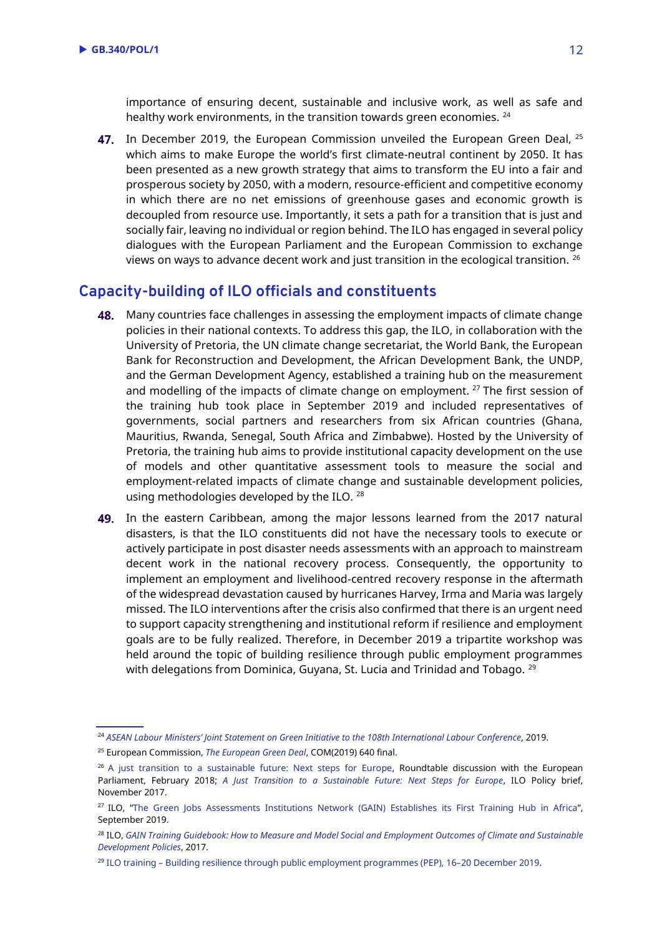importance of ensuring decent, sustainable and inclusive work, as well as safe and healthy work environments, in the transition towards green economies. <sup>24</sup>

47. In December 2019, the European Commission unveiled the European Green Deal, <sup>25</sup> which aims to make Europe the world's first climate-neutral continent by 2050. It has been presented as a new growth strategy that aims to transform the EU into a fair and prosperous society by 2050, with a modern, resource-efficient and competitive economy in which there are no net emissions of greenhouse gases and economic growth is decoupled from resource use. Importantly, it sets a path for a transition that is just and socially fair, leaving no individual or region behind. The ILO has engaged in several policy dialogues with the European Parliament and the European Commission to exchange views on ways to advance decent work and just transition in the ecological transition.  $^{26}$ 

#### **Capacity-building of ILO officials and constituents**

- **48.** Many countries face challenges in assessing the employment impacts of climate change policies in their national contexts. To address this gap, the ILO, in collaboration with the University of Pretoria, the UN climate change secretariat, the World Bank, the European Bank for Reconstruction and Development, the African Development Bank, the UNDP, and the German Development Agency, established a training hub on the measurement and modelling of the impacts of climate change on employment.  $27$  The first session of the training hub took place in September 2019 and included representatives of governments, social partners and researchers from six African countries (Ghana, Mauritius, Rwanda, Senegal, South Africa and Zimbabwe). Hosted by the University of Pretoria, the training hub aims to provide institutional capacity development on the use of models and other quantitative assessment tools to measure the social and employment-related impacts of climate change and sustainable development policies, using methodologies developed by the ILO. <sup>28</sup>
- 49. In the eastern Caribbean, among the major lessons learned from the 2017 natural disasters, is that the ILO constituents did not have the necessary tools to execute or actively participate in post disaster needs assessments with an approach to mainstream decent work in the national recovery process. Consequently, the opportunity to implement an employment and livelihood-centred recovery response in the aftermath of the widespread devastation caused by hurricanes Harvey, Irma and Maria was largely missed. The ILO interventions after the crisis also confirmed that there is an urgent need to support capacity strengthening and institutional reform if resilience and employment goals are to be fully realized. Therefore, in December 2019 a tripartite workshop was held around the topic of building resilience through public employment programmes with delegations from Dominica, Guyana, St. Lucia and Trinidad and Tobago. <sup>29</sup>

<sup>24</sup> *ASEAN Labour Ministers' [Joint Statement on Green Initiative to the 108th International Labour Conference](https://asean.org/storage/2019/06/Final-Adopted-ASEAN-Labour-Ministers-Joint-Statement-on-Green-Initiative....pdf)*, 2019.

<sup>25</sup> European Commission, *[The European Green Deal](https://ec.europa.eu/info/sites/info/files/european-green-deal-communication_en.pdf)*, COM(2019) 640 final.

<sup>&</sup>lt;sup>26</sup> [A just transition to a sustainable future: Next steps for Europe,](https://www.ilo.org/brussels/meetings-and-events/WCMS_617307/lang--en/index.htm) Roundtable discussion with the European Parliament, February 2018; *[A Just Transition to a Sustainable Future: Next Steps for Europe](https://www.ilo.org/wcmsp5/groups/public/---europe/---ro-geneva/---ilo-brussels/documents/publication/wcms_614024.pdf)*, ILO Policy brief, November 2017.

<sup>&</sup>lt;sup>27</sup> ILO, "[The Green Jobs Assessments Institutions Network \(GAIN\) Establishes its First Training Hub in Africa](https://www.ilo.org/global/topics/green-jobs/news/WCMS_721194/lang--en/index.htm)", September 2019.

<sup>28</sup> ILO, *[GAIN Training Guidebook: How to Measure and Model Social and Employment Outcomes of Climate and Sustainable](https://www.ilo.org/wcmsp5/groups/public/---ed_emp/documents/publication/wcms_613934.pdf)  [Development Policies](https://www.ilo.org/wcmsp5/groups/public/---ed_emp/documents/publication/wcms_613934.pdf)*, 2017.

<sup>29</sup> ILO training – [Building resilience through public employment programmes \(PEP\),](https://www.ilo.org/caribbean/events-and-meetings/WCMS_724973/lang--en/index.htm) 16–20 December 2019.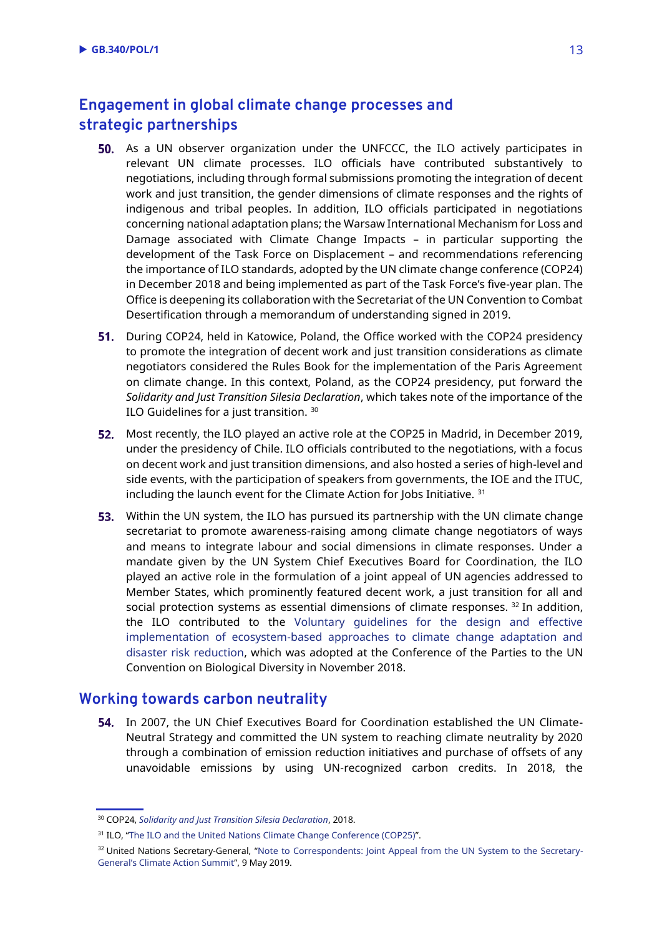# **Engagement in global climate change processes and strategic partnerships**

- **50.** As a UN observer organization under the UNFCCC, the ILO actively participates in relevant UN climate processes. ILO officials have contributed substantively to negotiations, including through formal submissions promoting the integration of decent work and just transition, the gender dimensions of climate responses and the rights of indigenous and tribal peoples. In addition, ILO officials participated in negotiations concerning national adaptation plans; the Warsaw International Mechanism for Loss and Damage associated with Climate Change Impacts – in particular supporting the development of the Task Force on Displacement – and recommendations referencing the importance of ILO standards, adopted by the UN climate change conference (COP24) in December 2018 and being implemented as part of the Task Force's five-year plan. The Office is deepening its collaboration with the Secretariat of the UN Convention to Combat Desertification through a memorandum of understanding signed in 2019.
- 51. During COP24, held in Katowice, Poland, the Office worked with the COP24 presidency to promote the integration of decent work and just transition considerations as climate negotiators considered the Rules Book for the implementation of the Paris Agreement on climate change. In this context, Poland, as the COP24 presidency, put forward the *Solidarity and Just Transition Silesia Declaration*, which takes note of the importance of the ILO Guidelines for a just transition. <sup>30</sup>
- 52. Most recently, the ILO played an active role at the COP25 in Madrid, in December 2019, under the presidency of Chile. ILO officials contributed to the negotiations, with a focus on decent work and just transition dimensions, and also hosted a series of high-level and side events, with the participation of speakers from governments, the IOE and the ITUC, including the launch event for the Climate Action for Jobs Initiative. <sup>31</sup>
- 53. Within the UN system, the ILO has pursued its partnership with the UN climate change secretariat to promote awareness-raising among climate change negotiators of ways and means to integrate labour and social dimensions in climate responses. Under a mandate given by the UN System Chief Executives Board for Coordination, the ILO played an active role in the formulation of a joint appeal of UN agencies addressed to Member States, which prominently featured decent work, a just transition for all and social protection systems as essential dimensions of climate responses.  $32$  In addition, the ILO contributed to the [Voluntary guidelines for the design and effective](https://www.cbd.int/doc/decisions/cop-14/cop-14-dec-05-en.pdf)  [implementation of ecosystem-based approaches to climate change adaptation and](https://www.cbd.int/doc/decisions/cop-14/cop-14-dec-05-en.pdf)  [disaster risk reduction,](https://www.cbd.int/doc/decisions/cop-14/cop-14-dec-05-en.pdf) which was adopted at the Conference of the Parties to the UN Convention on Biological Diversity in November 2018.

#### **Working towards carbon neutrality**

54. In 2007, the UN Chief Executives Board for Coordination established the UN Climate-Neutral Strategy and committed the UN system to reaching climate neutrality by 2020 through a combination of emission reduction initiatives and purchase of offsets of any unavoidable emissions by using UN-recognized carbon credits. In 2018, the

<sup>30</sup> COP24, *[Solidarity and Just Transition Silesia Declaration](https://cop24.gov.pl/fileadmin/user_upload/Solidarity_and_Just_Transition_Silesia_Declaration_2_.pdf)*, 2018.

<sup>&</sup>lt;sup>31</sup> ILO, "[The ILO and the United Nations Climate Change Conference \(COP25\)](https://www.ilo.org/global/topics/green-jobs/areas-of-work/climate-change/WCMS_731165/lang--en/index.htm)".

<sup>&</sup>lt;sup>32</sup> United Nations Secretary-General, "[Note to Correspondents: Joint Appeal from the UN System to the Secretary-](https://www.un.org/sg/en/content/sg/note-correspondents/2019-05-09/note-correspondents-joint-appeal-the-un-system-the-secretary-general%E2%80%99s-climate-action-summit)General'[s Climate Action Summit](https://www.un.org/sg/en/content/sg/note-correspondents/2019-05-09/note-correspondents-joint-appeal-the-un-system-the-secretary-general%E2%80%99s-climate-action-summit)", 9 May 2019.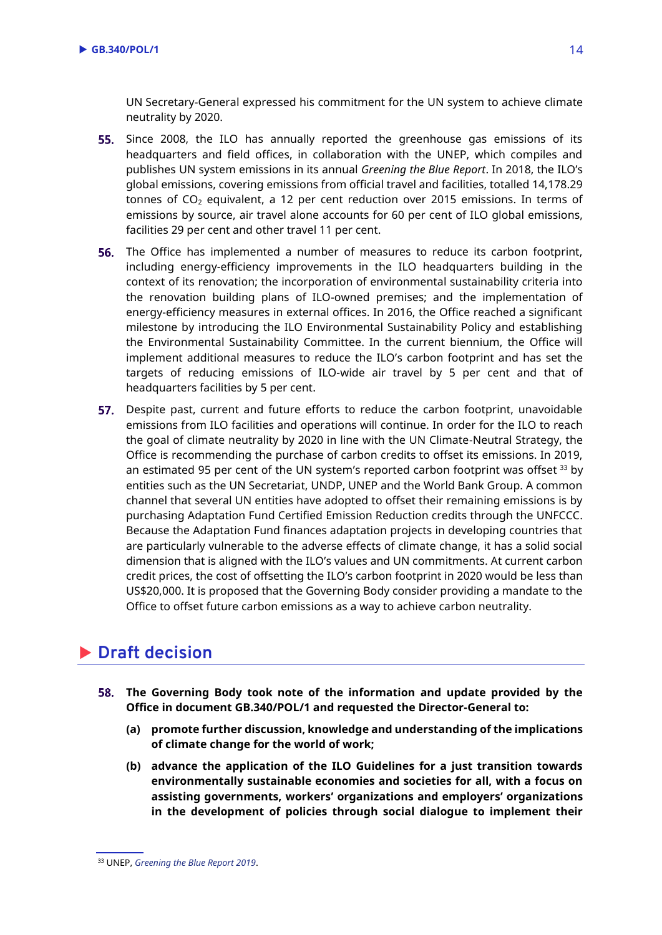UN Secretary-General expressed his commitment for the UN system to achieve climate neutrality by 2020.

- 55. Since 2008, the ILO has annually reported the greenhouse gas emissions of its headquarters and field offices, in collaboration with the UNEP, which compiles and publishes UN system emissions in its annual *Greening the Blue Report*. In 2018, the ILO's global emissions, covering emissions from official travel and facilities, totalled 14,178.29 tonnes of  $CO<sub>2</sub>$  equivalent, a 12 per cent reduction over 2015 emissions. In terms of emissions by source, air travel alone accounts for 60 per cent of ILO global emissions, facilities 29 per cent and other travel 11 per cent.
- **56.** The Office has implemented a number of measures to reduce its carbon footprint, including energy-efficiency improvements in the ILO headquarters building in the context of its renovation; the incorporation of environmental sustainability criteria into the renovation building plans of ILO-owned premises; and the implementation of energy-efficiency measures in external offices. In 2016, the Office reached a significant milestone by introducing the ILO Environmental Sustainability Policy and establishing the Environmental Sustainability Committee. In the current biennium, the Office will implement additional measures to reduce the ILO's carbon footprint and has set the targets of reducing emissions of ILO-wide air travel by 5 per cent and that of headquarters facilities by 5 per cent.
- 57. Despite past, current and future efforts to reduce the carbon footprint, unavoidable emissions from ILO facilities and operations will continue. In order for the ILO to reach the goal of climate neutrality by 2020 in line with the UN Climate-Neutral Strategy, the Office is recommending the purchase of carbon credits to offset its emissions. In 2019, an estimated 95 per cent of the UN system's reported carbon footprint was offset  $33$  by entities such as the UN Secretariat, UNDP, UNEP and the World Bank Group. A common channel that several UN entities have adopted to offset their remaining emissions is by purchasing Adaptation Fund Certified Emission Reduction credits through the UNFCCC. Because the Adaptation Fund finances adaptation projects in developing countries that are particularly vulnerable to the adverse effects of climate change, it has a solid social dimension that is aligned with the ILO's values and UN commitments. At current carbon credit prices, the cost of offsetting the ILO's carbon footprint in 2020 would be less than US\$20,000. It is proposed that the Governing Body consider providing a mandate to the Office to offset future carbon emissions as a way to achieve carbon neutrality.

# **Draft decision**

- **The Governing Body took note of the information and update provided by the Office in document GB.340/POL/1 and requested the Director-General to:**
	- **(a) promote further discussion, knowledge and understanding of the implications of climate change for the world of work;**
	- **(b) advance the application of the ILO Guidelines for a just transition towards environmentally sustainable economies and societies for all, with a focus on assisting governments, workers' organizations and employers' organizations in the development of policies through social dialogue to implement their**

<sup>33</sup> UNEP, *[Greening the Blue Report 2019](https://www.unenvironment.org/resources/report/greening-blue-report-2019)*.